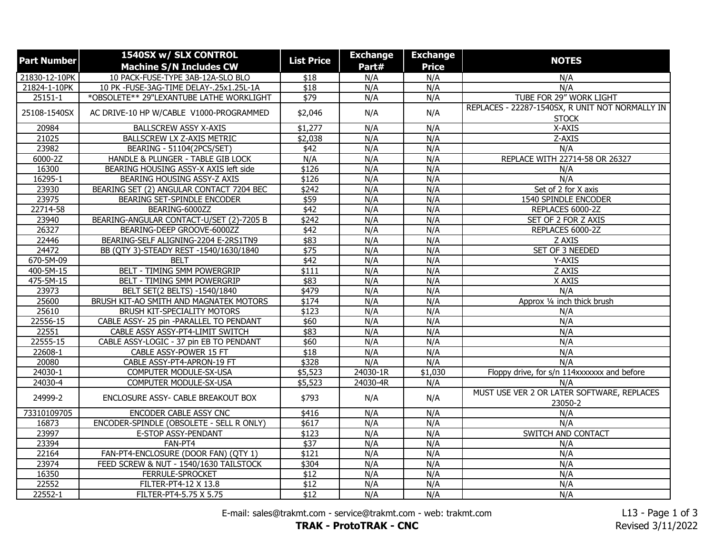| <b>Part Number</b> | 1540SX w/ SLX CONTROL                    | <b>List Price</b> | <b>Exchange</b> | <b>Exchange</b> |                                                                 |
|--------------------|------------------------------------------|-------------------|-----------------|-----------------|-----------------------------------------------------------------|
|                    | <b>Machine S/N Includes CW</b>           |                   | Part#           | <b>Price</b>    | <b>NOTES</b>                                                    |
| 21830-12-10PK      | 10 PACK-FUSE-TYPE 3AB-12A-SLO BLO        | \$18              | N/A             | N/A             | N/A                                                             |
| 21824-1-10PK       | 10 PK -FUSE-3AG-TIME DELAY-.25x1.25L-1A  | $\overline{$18}$  | N/A             | N/A             | N/A                                                             |
| $25151 - 1$        | *OBSOLETE** 29"LEXANTUBE LATHE WORKLIGHT | \$79              | N/A             | N/A             | TUBE FOR 29" WORK LIGHT                                         |
| 25108-1540SX       | AC DRIVE-10 HP W/CABLE V1000-PROGRAMMED  | \$2,046           | N/A             | N/A             | REPLACES - 22287-1540SX, R UNIT NOT NORMALLY IN<br><b>STOCK</b> |
| 20984              | <b>BALLSCREW ASSY X-AXIS</b>             | \$1,277           | N/A             | N/A             | X-AXIS                                                          |
| 21025              | BALLSCREW LX Z-AXIS METRIC               | \$2,038           | N/A             | N/A             | Z-AXIS                                                          |
| 23982              | BEARING - 51104(2PCS/SET)                | \$42              | N/A             | N/A             | N/A                                                             |
| 6000-2Z            | HANDLE & PLUNGER - TABLE GIB LOCK        | N/A               | N/A             | N/A             | REPLACE WITH 22714-58 OR 26327                                  |
| 16300              | BEARING HOUSING ASSY-X AXIS left side    | \$126             | N/A             | N/A             | N/A                                                             |
| 16295-1            | <b>BEARING HOUSING ASSY-Z AXIS</b>       | \$126             | N/A             | N/A             | N/A                                                             |
| 23930              | BEARING SET (2) ANGULAR CONTACT 7204 BEC | \$242             | N/A             | N/A             | Set of 2 for X axis                                             |
| 23975              | BEARING SET-SPINDLE ENCODER              | \$59              | N/A             | N/A             | 1540 SPINDLE ENCODER                                            |
| 22714-58           | BEARING-6000ZZ                           | $\overline{$42}$  | N/A             | N/A             | REPLACES 6000-2Z                                                |
| 23940              | BEARING-ANGULAR CONTACT-U/SET (2)-7205 B | \$242             | N/A             | N/A             | SET OF 2 FOR Z AXIS                                             |
| 26327              | BEARING-DEEP GROOVE-6000ZZ               | \$42              | N/A             | N/A             | REPLACES 6000-2Z                                                |
| 22446              | BEARING-SELF ALIGNING-2204 E-2RS1TN9     | \$83              | N/A             | N/A             | Z AXIS                                                          |
| 24472              | BB (QTY 3)-STEADY REST -1540/1630/1840   | \$75              | N/A             | N/A             | SET OF 3 NEEDED                                                 |
| 670-5M-09          | <b>BELT</b>                              | \$42              | N/A             | N/A             | Y-AXIS                                                          |
| 400-5M-15          | <b>BELT - TIMING 5MM POWERGRIP</b>       | \$111             | N/A             | N/A             | Z AXIS                                                          |
| 475-5M-15          | BELT - TIMING 5MM POWERGRIP              | \$83              | N/A             | N/A             | X AXIS                                                          |
| 23973              | BELT SET(2 BELTS) -1540/1840             | \$479             | N/A             | N/A             | N/A                                                             |
| 25600              | BRUSH KIT-AO SMITH AND MAGNATEK MOTORS   | \$174             | N/A             | N/A             | Approx 1/4 inch thick brush                                     |
| 25610              | <b>BRUSH KIT-SPECIALITY MOTORS</b>       | \$123             | N/A             | N/A             | N/A                                                             |
| 22556-15           | CABLE ASSY- 25 pin -PARALLEL TO PENDANT  | \$60              | N/A             | N/A             | N/A                                                             |
| 22551              | CABLE ASSY ASSY-PT4-LIMIT SWITCH         | \$83              | N/A             | N/A             | N/A                                                             |
| 22555-15           | CABLE ASSY-LOGIC - 37 pin EB TO PENDANT  | \$60              | N/A             | N/A             | N/A                                                             |
| 22608-1            | CABLE ASSY-POWER 15 FT                   | \$18              | N/A             | N/A             | N/A                                                             |
| 20080              | CABLE ASSY-PT4-APRON-19 FT               | \$328             | N/A             | N/A             | N/A                                                             |
| 24030-1            | COMPUTER MODULE-SX-USA                   | \$5,523           | $24030 - 1R$    | \$1,030         | Floppy drive, for s/n 114xxxxxxx and before                     |
| 24030-4            | COMPUTER MODULE-SX-USA                   | \$5,523           | 24030-4R        | N/A             | N/A                                                             |
| 24999-2            | ENCLOSURE ASSY- CABLE BREAKOUT BOX       | \$793             | N/A             | N/A             | MUST USE VER 2 OR LATER SOFTWARE, REPLACES<br>23050-2           |
| 73310109705        | ENCODER CABLE ASSY CNC                   | \$416             | N/A             | N/A             | N/A                                                             |
| 16873              | ENCODER-SPINDLE (OBSOLETE - SELL R ONLY) | \$617             | N/A             | N/A             | N/A                                                             |
| 23997              | E-STOP ASSY-PENDANT                      | \$123             | N/A             | N/A             | SWITCH AND CONTACT                                              |
| 23394              | FAN-PT4                                  | $\sqrt{$37}$      | N/A             | N/A             | N/A                                                             |
| 22164              | FAN-PT4-ENCLOSURE (DOOR FAN) (QTY 1)     | \$121             | N/A             | N/A             | N/A                                                             |
| 23974              | FEED SCREW & NUT - 1540/1630 TAILSTOCK   | \$304             | N/A             | N/A             | N/A                                                             |
| 16350              | FERRULE-SPROCKET                         | $\overline{$12}$  | N/A             | N/A             | N/A                                                             |
| 22552              | FILTER-PT4-12 X 13.8                     | \$12              | N/A             | N/A             | N/A                                                             |
| 22552-1            | FILTER-PT4-5.75 X 5.75                   | $\overline{$12}$  | N/A             | N/A             | N/A                                                             |

E-mail: sales@trakmt.com - service@trakmt.com - web: trakmt.com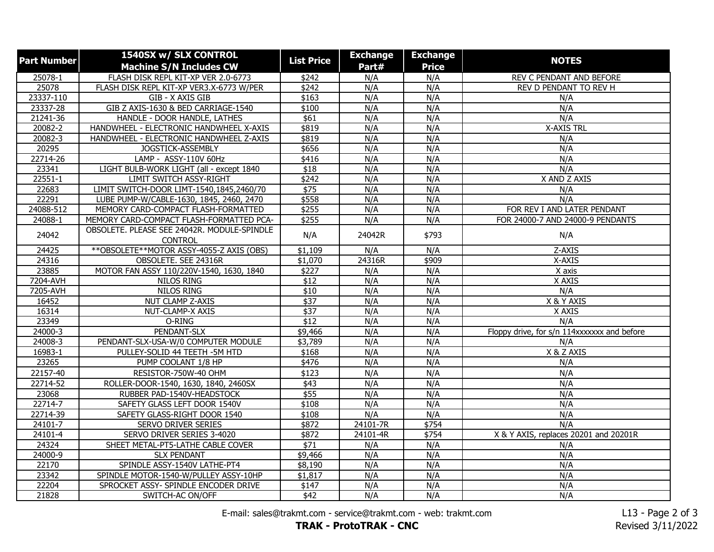| <b>Part Number</b> | 1540SX w/ SLX CONTROL                                            |                     | <b>Exchange</b> | <b>Exchange</b> |                                             |
|--------------------|------------------------------------------------------------------|---------------------|-----------------|-----------------|---------------------------------------------|
|                    | <b>Machine S/N Includes CW</b>                                   | <b>List Price</b>   | Part#           | <b>Price</b>    | <b>NOTES</b>                                |
| 25078-1            | FLASH DISK REPL KIT-XP VER 2.0-6773                              | \$242               | N/A             | N/A             | REV C PENDANT AND BEFORE                    |
| 25078              | FLASH DISK REPL KIT-XP VER3.X-6773 W/PER                         | \$242               | N/A             | N/A             | REV D PENDANT TO REV H                      |
| 23337-110          | GIB - X AXIS GIB                                                 | \$163               | N/A             | N/A             | N/A                                         |
| 23337-28           | GIB Z AXIS-1630 & BED CARRIAGE-1540                              | \$100               | N/A             | N/A             | N/A                                         |
| 21241-36           | HANDLE - DOOR HANDLE, LATHES                                     | \$61                | N/A             | N/A             | N/A                                         |
| 20082-2            | HANDWHEEL - ELECTRONIC HANDWHEEL X-AXIS                          | \$819               | N/A             | N/A             | <b>X-AXIS TRL</b>                           |
| 20082-3            | HANDWHEEL - ELECTRONIC HANDWHEEL Z-AXIS                          | \$819               | N/A             | N/A             | N/A                                         |
| 20295              | JOGSTICK-ASSEMBLY                                                | \$656               | N/A             | N/A             | N/A                                         |
| 22714-26           | LAMP - ASSY-110V 60Hz                                            | \$416               | N/A             | N/A             | N/A                                         |
| 23341              | LIGHT BULB-WORK LIGHT (all - except 1840                         | $\overline{$18}$    | N/A             | N/A             | N/A                                         |
| $22551 - 1$        | <b>LIMIT SWITCH ASSY-RIGHT</b>                                   | \$242               | N/A             | N/A             | X AND Z AXIS                                |
| 22683              | LIMIT SWITCH-DOOR LIMT-1540,1845,2460/70                         | \$75                | N/A             | N/A             | N/A                                         |
| 22291              | LUBE PUMP-W/CABLE-1630, 1845, 2460, 2470                         | \$558               | N/A             | N/A             | N/A                                         |
| 24088-512          | MEMORY CARD-COMPACT FLASH-FORMATTED                              | \$255               | N/A             | N/A             | FOR REV I AND LATER PENDANT                 |
| 24088-1            | MEMORY CARD-COMPACT FLASH-FORMATTED PCA-                         | \$255               | N/A             | N/A             | FOR 24000-7 AND 24000-9 PENDANTS            |
| 24042              | OBSOLETE. PLEASE SEE 24042R. MODULE-SPINDLE                      | N/A                 | 24042R          | \$793           | N/A                                         |
|                    | <b>CONTROL</b>                                                   |                     |                 |                 |                                             |
| 24425              | ** OBSOLETE ** MOTOR ASSY-4055-Z AXIS (OBS)                      | \$1,109             | N/A             | N/A             | Z-AXIS                                      |
| 24316<br>23885     | OBSOLETE. SEE 24316R<br>MOTOR FAN ASSY 110/220V-1540, 1630, 1840 | \$1,070<br>\$227    | 24316R<br>N/A   | \$909<br>N/A    | X-AXIS                                      |
| 7204-AVH           | NILOS RING                                                       | \$12                | N/A             | N/A             | X axis<br>X AXIS                            |
| 7205-AVH           | NILOS RING                                                       | \$10                | N/A             | N/A             | N/A                                         |
| 16452              | <b>NUT CLAMP Z-AXIS</b>                                          | \$37                | N/A             | N/A             | X & Y AXIS                                  |
| 16314              | NUT-CLAMP-X AXIS                                                 | $\sqrt{$37}$        | N/A             | N/A             | X AXIS                                      |
| 23349              | O-RING                                                           | \$12                | N/A             | N/A             | N/A                                         |
| $24000 - 3$        | PENDANT-SLX                                                      | \$9,466             | N/A             | N/A             | Floppy drive, for s/n 114xxxxxxx and before |
| 24008-3            | PENDANT-SLX-USA-W/0 COMPUTER MODULE                              | \$3,789             | N/A             | N/A             | N/A                                         |
| 16983-1            | PULLEY-SOLID 44 TEETH -5M HTD                                    | \$168               | N/A             | N/A             | X & Z AXIS                                  |
| 23265              | PUMP COOLANT 1/8 HP                                              | \$476               | N/A             | N/A             | N/A                                         |
|                    | RESISTOR-750W-40 OHM                                             |                     |                 |                 |                                             |
| 22157-40           |                                                                  | \$123               | N/A             | N/A             | N/A                                         |
| 22714-52           | ROLLER-DOOR-1540, 1630, 1840, 2460SX                             | \$43                | N/A             | N/A             | N/A                                         |
| 23068              | RUBBER PAD-1540V-HEADSTOCK                                       | \$55                | N/A             | N/A             | N/A                                         |
| 22714-7            | SAFETY GLASS LEFT DOOR 1540V                                     | \$108               | N/A             | N/A             | N/A                                         |
| 22714-39           | SAFETY GLASS-RIGHT DOOR 1540                                     | \$108               | N/A             | N/A             | N/A                                         |
| 24101-7            | SERVO DRIVER SERIES                                              | \$872               | 24101-7R        | \$754           | N/A                                         |
| 24101-4            | SERVO DRIVER SERIES 3-4020                                       | \$872               | 24101-4R        | \$754           | X & Y AXIS, replaces 20201 and 20201R       |
| 24324              | SHEET METAL-PT5-LATHE CABLE COVER                                | $\overline{$}$ \$71 | N/A             | N/A             | N/A                                         |
| 24000-9            | <b>SLX PENDANT</b>                                               | \$9,466             | N/A             | N/A             | N/A                                         |
| 22170              | SPINDLE ASSY-1540V LATHE-PT4                                     | $\overline{$8,190}$ | N/A             | N/A             | N/A                                         |
| 23342              | SPINDLE MOTOR-1540-W/PULLEY ASSY-10HP                            | \$1,817             | N/A             | N/A             | N/A                                         |
| 22204              | SPROCKET ASSY- SPINDLE ENCODER DRIVE                             | \$147               | N/A             | N/A             | N/A                                         |
| 21828              | SWITCH-AC ON/OFF                                                 | \$42                | N/A             | N/A             | N/A                                         |

E-mail: sales@trakmt.com - service@trakmt.com - web: trakmt.com